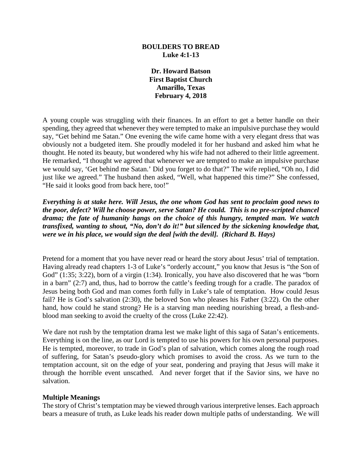#### **BOULDERS TO BREAD Luke 4:1-13**

**Dr. Howard Batson First Baptist Church Amarillo, Texas February 4, 2018**

A young couple was struggling with their finances. In an effort to get a better handle on their spending, they agreed that whenever they were tempted to make an impulsive purchase they would say, "Get behind me Satan." One evening the wife came home with a very elegant dress that was obviously not a budgeted item. She proudly modeled it for her husband and asked him what he thought. He noted its beauty, but wondered why his wife had not adhered to their little agreement. He remarked, "I thought we agreed that whenever we are tempted to make an impulsive purchase we would say, 'Get behind me Satan.' Did you forget to do that?" The wife replied, "Oh no, I did just like we agreed." The husband then asked, "Well, what happened this time?" She confessed, "He said it looks good from back here, too!"

*Everything is at stake here. Will Jesus, the one whom God has sent to proclaim good news to the poor, defect? Will he choose power, serve Satan? He could. This is no pre-scripted chancel drama; the fate of humanity hangs on the choice of this hungry, tempted man. We watch transfixed, wanting to shout, "No, don't do it!" but silenced by the sickening knowledge that, were we in his place, we would sign the deal [with the devil]. (Richard B. Hays)*

Pretend for a moment that you have never read or heard the story about Jesus' trial of temptation. Having already read chapters 1-3 of Luke's "orderly account," you know that Jesus is "the Son of God" (1:35; 3:22), born of a virgin (1:34). Ironically, you have also discovered that he was "born in a barn" (2:7) and, thus, had to borrow the cattle's feeding trough for a cradle. The paradox of Jesus being both God and man comes forth fully in Luke's tale of temptation. How could Jesus fail? He is God's salvation (2:30), the beloved Son who pleases his Father (3:22). On the other hand, how could he stand strong? He is a starving man needing nourishing bread, a flesh-andblood man seeking to avoid the cruelty of the cross (Luke 22:42).

We dare not rush by the temptation drama lest we make light of this saga of Satan's enticements. Everything is on the line, as our Lord is tempted to use his powers for his own personal purposes. He is tempted, moreover, to trade in God's plan of salvation, which comes along the rough road of suffering, for Satan's pseudo-glory which promises to avoid the cross. As we turn to the temptation account, sit on the edge of your seat, pondering and praying that Jesus will make it through the horrible event unscathed. And never forget that if the Savior sins, we have no salvation.

#### **Multiple Meanings**

The story of Christ's temptation may be viewed through various interpretive lenses. Each approach bears a measure of truth, as Luke leads his reader down multiple paths of understanding. We will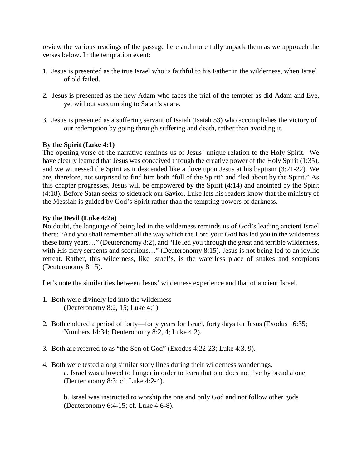review the various readings of the passage here and more fully unpack them as we approach the verses below. In the temptation event:

- 1. Jesus is presented as the true Israel who is faithful to his Father in the wilderness, when Israel of old failed.
- 2. Jesus is presented as the new Adam who faces the trial of the tempter as did Adam and Eve, yet without succumbing to Satan's snare.
- 3. Jesus is presented as a suffering servant of Isaiah (Isaiah 53) who accomplishes the victory of our redemption by going through suffering and death, rather than avoiding it.

# **By the Spirit (Luke 4:1)**

The opening verse of the narrative reminds us of Jesus' unique relation to the Holy Spirit. We have clearly learned that Jesus was conceived through the creative power of the Holy Spirit (1:35), and we witnessed the Spirit as it descended like a dove upon Jesus at his baptism (3:21-22). We are, therefore, not surprised to find him both "full of the Spirit" and "led about by the Spirit." As this chapter progresses, Jesus will be empowered by the Spirit (4:14) and anointed by the Spirit (4:18). Before Satan seeks to sidetrack our Savior, Luke lets his readers know that the ministry of the Messiah is guided by God's Spirit rather than the tempting powers of darkness.

#### **By the Devil (Luke 4:2a)**

No doubt, the language of being led in the wilderness reminds us of God's leading ancient Israel there: "And you shall remember all the way which the Lord your God has led you in the wilderness these forty years…" (Deuteronomy 8:2), and "He led you through the great and terrible wilderness, with His fiery serpents and scorpions..." (Deuteronomy 8:15). Jesus is not being led to an idyllic retreat. Rather, this wilderness, like Israel's, is the waterless place of snakes and scorpions (Deuteronomy 8:15).

Let's note the similarities between Jesus' wilderness experience and that of ancient Israel.

- 1. Both were divinely led into the wilderness (Deuteronomy 8:2, 15; Luke 4:1).
- 2. Both endured a period of forty—forty years for Israel, forty days for Jesus (Exodus 16:35; Numbers 14:34; Deuteronomy 8:2, 4; Luke 4:2).
- 3. Both are referred to as "the Son of God" (Exodus 4:22-23; Luke 4:3, 9).
- 4. Both were tested along similar story lines during their wilderness wanderings. a. Israel was allowed to hunger in order to learn that one does not live by bread alone (Deuteronomy 8:3; cf. Luke 4:2-4).

b. Israel was instructed to worship the one and only God and not follow other gods (Deuteronomy 6:4-15; cf. Luke 4:6-8).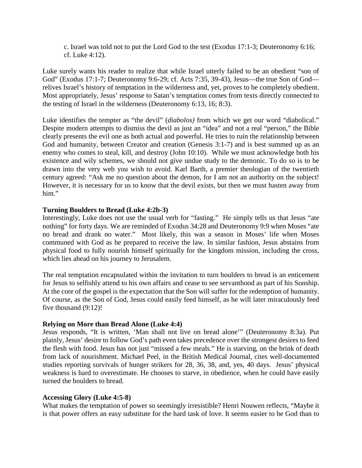c. Israel was told not to put the Lord God to the test (Exodus 17:1-3; Deuteronomy 6:16; cf. Luke 4:12).

Luke surely wants his reader to realize that while Israel utterly failed to be an obedient "son of God" (Exodus 17:1-7; Deuteronomy 9:6-29; cf. Acts 7:35, 39-43), Jesus—the true Son of God relives Israel's history of temptation in the wilderness and, yet, proves to be completely obedient. Most appropriately, Jesus' response to Satan's temptation comes from texts directly connected to the testing of Israel in the wilderness (Deuteronomy 6:13, 16; 8:3).

Luke identifies the tempter as "the devil" (*diabolos)* from which we get our word "diabolical." Despite modern attempts to dismiss the devil as just an "idea" and not a real "person," the Bible clearly presents the evil one as both actual and powerful. He tries to ruin the relationship between God and humanity, between Creator and creation (Genesis 3:1-7) and is best summed up as an enemy who comes to steal, kill, and destroy (John 10:10). While we must acknowledge both his existence and wily schemes, we should not give undue study to the demonic. To do so is to be drawn into the very web you wish to avoid. Karl Barth, a premier theologian of the twentieth century agreed: "Ask me no question about the demon, for I am not an authority on the subject! However, it is necessary for us to know that the devil exists, but then we must hasten away from him."

## **Turning Boulders to Bread (Luke 4:2b-3)**

Interestingly, Luke does not use the usual verb for "fasting." He simply tells us that Jesus "ate nothing" for forty days. We are reminded of Exodus 34:28 and Deuteronomy 9:9 when Moses "ate no bread and drank no water." Most likely, this was a season in Moses' life when Moses communed with God as he prepared to receive the law. In similar fashion, Jesus abstains from physical food to fully nourish himself spiritually for the kingdom mission, including the cross, which lies ahead on his journey to Jerusalem.

The real temptation encapsulated within the invitation to turn boulders to bread is an enticement for Jesus to selfishly attend to his own affairs and cease to see servanthood as part of his Sonship. At the core of the gospel is the expectation that the Son will suffer for the redemption of humanity. Of course, as the Son of God, Jesus could easily feed himself, as he will later miraculously feed five thousand (9:12)!

#### **Relying on More than Bread Alone (Luke 4:4)**

Jesus responds, "It is written, 'Man shall not live on bread alone'" (Deuteronomy 8:3a). Put plainly, Jesus' desire to follow God's path even takes precedence over the strongest desires to feed the flesh with food. Jesus has not just "missed a few meals." He is starving, on the brink of death from lack of nourishment. Michael Peel, in the British Medical Journal, cites well-documented studies reporting survivals of hunger strikers for 28, 36, 38, and, yes, 40 days. Jesus' physical weakness is hard to overestimate. He chooses to starve, in obedience, when he could have easily turned the boulders to bread.

#### **Accessing Glory (Luke 4:5-8)**

What makes the temptation of power so seemingly irresistible? Henri Nouwen reflects, "Maybe it is that power offers an easy substitute for the hard task of love. It seems easier to be God than to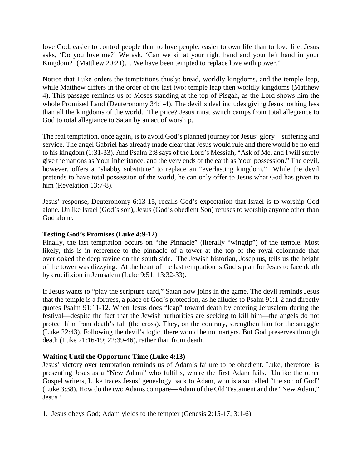love God, easier to control people than to love people, easier to own life than to love life. Jesus asks, 'Do you love me?' We ask, 'Can we sit at your right hand and your left hand in your Kingdom?' (Matthew 20:21)... We have been tempted to replace love with power."

Notice that Luke orders the temptations thusly: bread, worldly kingdoms, and the temple leap, while Matthew differs in the order of the last two: temple leap then worldly kingdoms (Matthew 4). This passage reminds us of Moses standing at the top of Pisgah, as the Lord shows him the whole Promised Land (Deuteronomy 34:1-4). The devil's deal includes giving Jesus nothing less than all the kingdoms of the world. The price? Jesus must switch camps from total allegiance to God to total allegiance to Satan by an act of worship.

The real temptation, once again, is to avoid God's planned journey for Jesus' glory—suffering and service. The angel Gabriel has already made clear that Jesus would rule and there would be no end to his kingdom (1:31-33). And Psalm 2:8 says of the Lord's Messiah, "Ask of Me, and I will surely give the nations as Your inheritance, and the very ends of the earth as Your possession." The devil, however, offers a "shabby substitute" to replace an "everlasting kingdom." While the devil pretends to have total possession of the world, he can only offer to Jesus what God has given to him (Revelation 13:7-8).

Jesus' response, Deuteronomy 6:13-15, recalls God's expectation that Israel is to worship God alone. Unlike Israel (God's son), Jesus (God's obedient Son) refuses to worship anyone other than God alone.

### **Testing God's Promises (Luke 4:9-12)**

Finally, the last temptation occurs on "the Pinnacle" (literally "wingtip") of the temple. Most likely, this is in reference to the pinnacle of a tower at the top of the royal colonnade that overlooked the deep ravine on the south side. The Jewish historian, Josephus, tells us the height of the tower was dizzying. At the heart of the last temptation is God's plan for Jesus to face death by crucifixion in Jerusalem (Luke 9:51; 13:32-33).

If Jesus wants to "play the scripture card," Satan now joins in the game. The devil reminds Jesus that the temple is a fortress, a place of God's protection, as he alludes to Psalm 91:1-2 and directly quotes Psalm 91:11-12. When Jesus does "leap" toward death by entering Jerusalem during the festival—despite the fact that the Jewish authorities are seeking to kill him—the angels do not protect him from death's fall (the cross). They, on the contrary, strengthen him for the struggle (Luke 22:43). Following the devil's logic, there would be no martyrs. But God preserves through death (Luke 21:16-19; 22:39-46), rather than from death.

#### **Waiting Until the Opportune Time (Luke 4:13)**

Jesus' victory over temptation reminds us of Adam's failure to be obedient. Luke, therefore, is presenting Jesus as a "New Adam" who fulfills, where the first Adam fails. Unlike the other Gospel writers, Luke traces Jesus' genealogy back to Adam, who is also called "the son of God" (Luke 3:38). How do the two Adams compare—Adam of the Old Testament and the "New Adam," Jesus?

1. Jesus obeys God; Adam yields to the tempter (Genesis 2:15-17; 3:1-6).